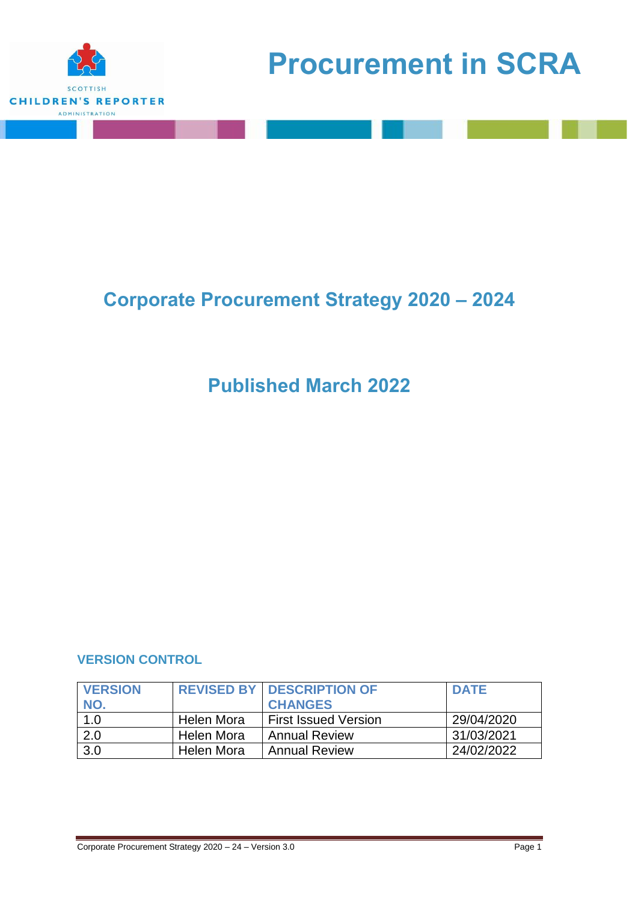

# **Corporate Procurement Strategy 2020 – 2024**

# **Published March 2022**

## **VERSION CONTROL**

| <b>VERSION</b> |            | <b>REVISED BY DESCRIPTION OF</b> | <b>DATE</b> |
|----------------|------------|----------------------------------|-------------|
| NO.            |            | <b>CHANGES</b>                   |             |
| 1.0            | Helen Mora | <b>First Issued Version</b>      | 29/04/2020  |
| 2.0            | Helen Mora | <b>Annual Review</b>             | 31/03/2021  |
| 3.0            | Helen Mora | <b>Annual Review</b>             | 24/02/2022  |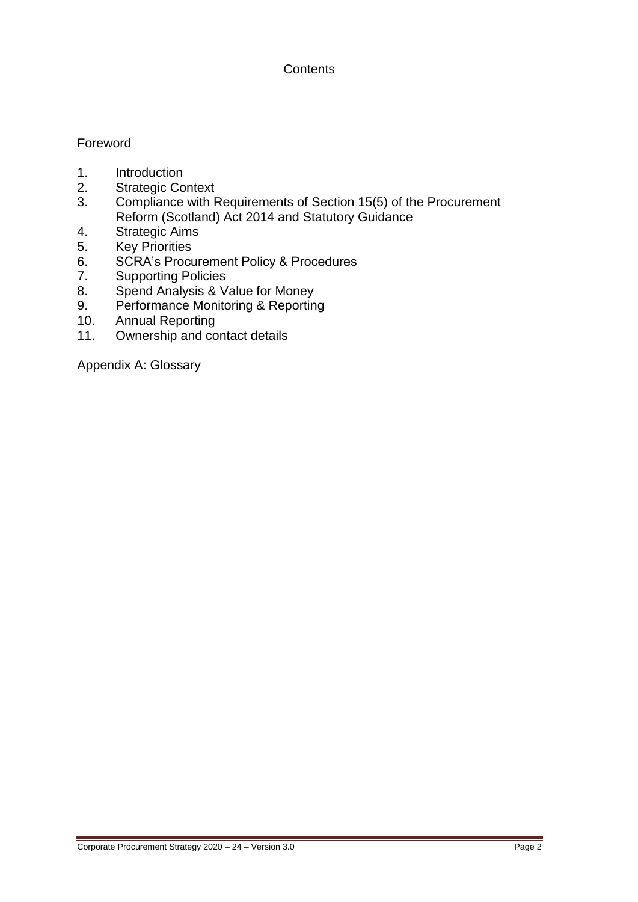## **Contents**

## Foreword

- 1. Introduction
- 2. Strategic Context
- 3. Compliance with Requirements of Section 15(5) of the Procurement Reform (Scotland) Act 2014 and Statutory Guidance
- 4. Strategic Aims
- 5. Key Priorities
- 6. SCRA's Procurement Policy & Procedures<br>7. Supporting Policies
- Supporting Policies
- 8. Spend Analysis & Value for Money
- 9. Performance Monitoring & Reporting
- 10. Annual Reporting
- 11. Ownership and contact details

Appendix A: Glossary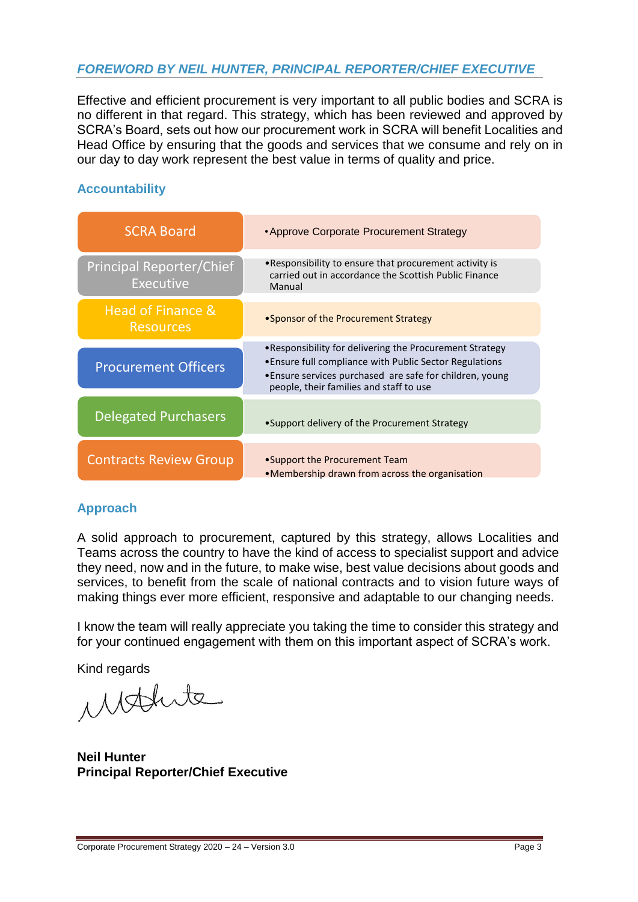## *FOREWORD BY NEIL HUNTER, PRINCIPAL REPORTER/CHIEF EXECUTIVE*

Effective and efficient procurement is very important to all public bodies and SCRA is no different in that regard. This strategy, which has been reviewed and approved by SCRA's Board, sets out how our procurement work in SCRA will benefit Localities and Head Office by ensuring that the goods and services that we consume and rely on in our day to day work represent the best value in terms of quality and price.

#### **Accountability**

| <b>SCRA Board</b>                                   | • Approve Corporate Procurement Strategy                                                                                                                                                                                   |
|-----------------------------------------------------|----------------------------------------------------------------------------------------------------------------------------------------------------------------------------------------------------------------------------|
| <b>Principal Reporter/Chief</b><br><b>Executive</b> | • Responsibility to ensure that procurement activity is<br>carried out in accordance the Scottish Public Finance<br>Manual                                                                                                 |
| Head of Finance &<br><b>Resources</b>               | • Sponsor of the Procurement Strategy                                                                                                                                                                                      |
| <b>Procurement Officers</b>                         | • Responsibility for delivering the Procurement Strategy<br>. Ensure full compliance with Public Sector Regulations<br>• Ensure services purchased are safe for children, young<br>people, their families and staff to use |
| <b>Delegated Purchasers</b>                         | •Support delivery of the Procurement Strategy                                                                                                                                                                              |
| <b>Contracts Review Group</b>                       | • Support the Procurement Team<br>•Membership drawn from across the organisation                                                                                                                                           |

## **Approach**

A solid approach to procurement, captured by this strategy, allows Localities and Teams across the country to have the kind of access to specialist support and advice they need, now and in the future, to make wise, best value decisions about goods and services, to benefit from the scale of national contracts and to vision future ways of making things ever more efficient, responsive and adaptable to our changing needs.

I know the team will really appreciate you taking the time to consider this strategy and for your continued engagement with them on this important aspect of SCRA's work.

Kind regards

Mathite

**Neil Hunter Principal Reporter/Chief Executive**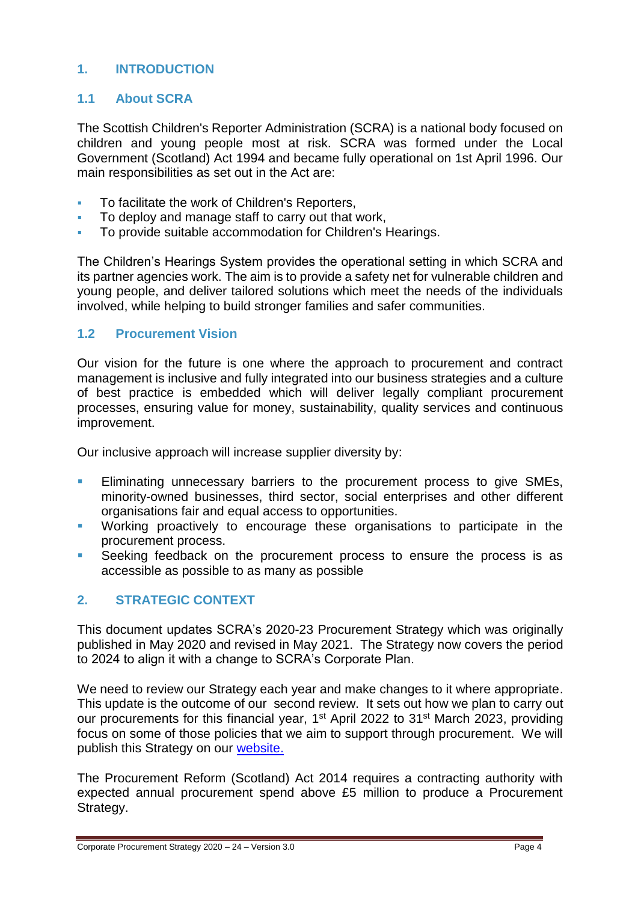## **1. INTRODUCTION**

#### **1.1 About SCRA**

The Scottish Children's Reporter Administration (SCRA) is a national body focused on children and young people most at risk. SCRA was formed under the Local Government (Scotland) Act 1994 and became fully operational on 1st April 1996. Our main responsibilities as set out in the Act are:

- **To facilitate the work of Children's Reporters,**
- To deploy and manage staff to carry out that work,
- To provide suitable accommodation for Children's Hearings.

The Children's Hearings System provides the operational setting in which SCRA and its partner agencies work. The aim is to provide a safety net for vulnerable children and young people, and deliver tailored solutions which meet the needs of the individuals involved, while helping to build stronger families and safer communities.

#### **1.2 Procurement Vision**

Our vision for the future is one where the approach to procurement and contract management is inclusive and fully integrated into our business strategies and a culture of best practice is embedded which will deliver legally compliant procurement processes, ensuring value for money, sustainability, quality services and continuous improvement.

Our inclusive approach will increase supplier diversity by:

- **Eliminating unnecessary barriers to the procurement process to give SMEs,** minority-owned businesses, third sector, social enterprises and other different organisations fair and equal access to opportunities.
- Working proactively to encourage these organisations to participate in the procurement process.
- **Seeking feedback on the procurement process to ensure the process is as** accessible as possible to as many as possible

## **2. STRATEGIC CONTEXT**

This document updates SCRA's 2020-23 Procurement Strategy which was originally published in May 2020 and revised in May 2021. The Strategy now covers the period to 2024 to align it with a change to SCRA's Corporate Plan.

We need to review our Strategy each year and make changes to it where appropriate. This update is the outcome of our second review. It sets out how we plan to carry out our procurements for this financial year, 1<sup>st</sup> April 2022 to 31<sup>st</sup> March 2023, providing focus on some of those policies that we aim to support through procurement. We will publish this Strategy on our [website.](https://www.scra.gov.uk/about-scra/procurement/) 

The Procurement Reform (Scotland) Act 2014 requires a contracting authority with expected annual procurement spend above £5 million to produce a Procurement Strategy.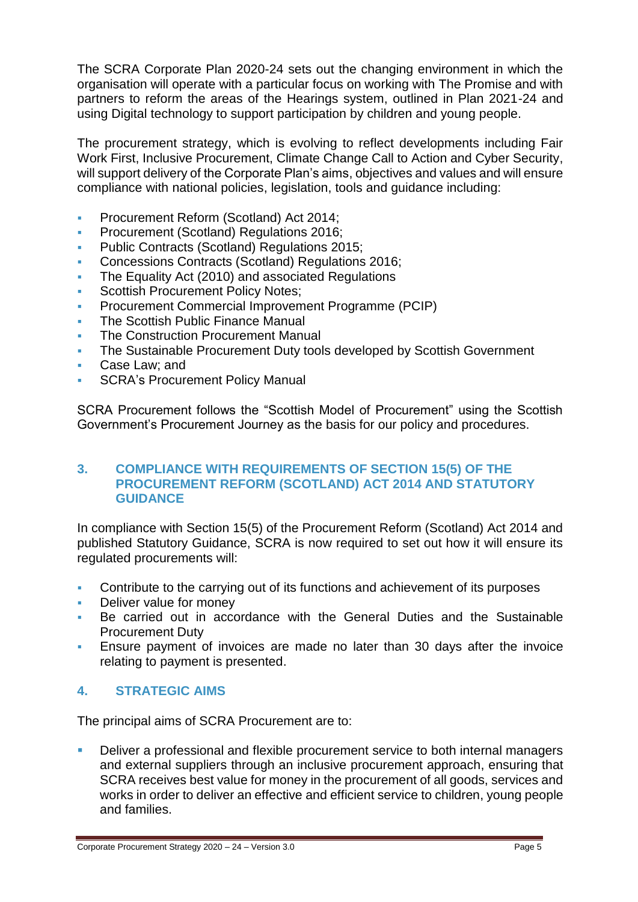The SCRA Corporate Plan 2020-24 sets out the changing environment in which the organisation will operate with a particular focus on working with The Promise and with partners to reform the areas of the Hearings system, outlined in Plan 2021-24 and using Digital technology to support participation by children and young people.

The procurement strategy, which is evolving to reflect developments including Fair Work First, Inclusive Procurement, Climate Change Call to Action and Cyber Security, will support delivery of the Corporate Plan's aims, objectives and values and will ensure compliance with national policies, legislation, tools and guidance including:

- **Procurement Reform (Scotland) Act 2014:**
- **Procurement (Scotland) Regulations 2016;**
- Public Contracts (Scotland) Regulations 2015;
- Concessions Contracts (Scotland) Regulations 2016;
- The Equality Act (2010) and associated Regulations
- Scottish Procurement Policy Notes;
- Procurement Commercial Improvement Programme (PCIP)
- The Scottish Public Finance Manual
- The Construction Procurement Manual
- The Sustainable Procurement Duty tools developed by Scottish Government
- Case Law; and
- **SCRA's Procurement Policy Manual**

SCRA Procurement follows the "Scottish Model of Procurement" using the Scottish Government's Procurement Journey as the basis for our policy and procedures.

#### **3. COMPLIANCE WITH REQUIREMENTS OF SECTION 15(5) OF THE PROCUREMENT REFORM (SCOTLAND) ACT 2014 AND STATUTORY GUIDANCE**

In compliance with Section 15(5) of the Procurement Reform (Scotland) Act 2014 and published Statutory Guidance, SCRA is now required to set out how it will ensure its regulated procurements will:

- Contribute to the carrying out of its functions and achievement of its purposes
- Deliver value for money
- Be carried out in accordance with the General Duties and the Sustainable Procurement Duty
- Ensure payment of invoices are made no later than 30 days after the invoice relating to payment is presented.

## **4. STRATEGIC AIMS**

The principal aims of SCRA Procurement are to:

 Deliver a professional and flexible procurement service to both internal managers and external suppliers through an inclusive procurement approach, ensuring that SCRA receives best value for money in the procurement of all goods, services and works in order to deliver an effective and efficient service to children, young people and families.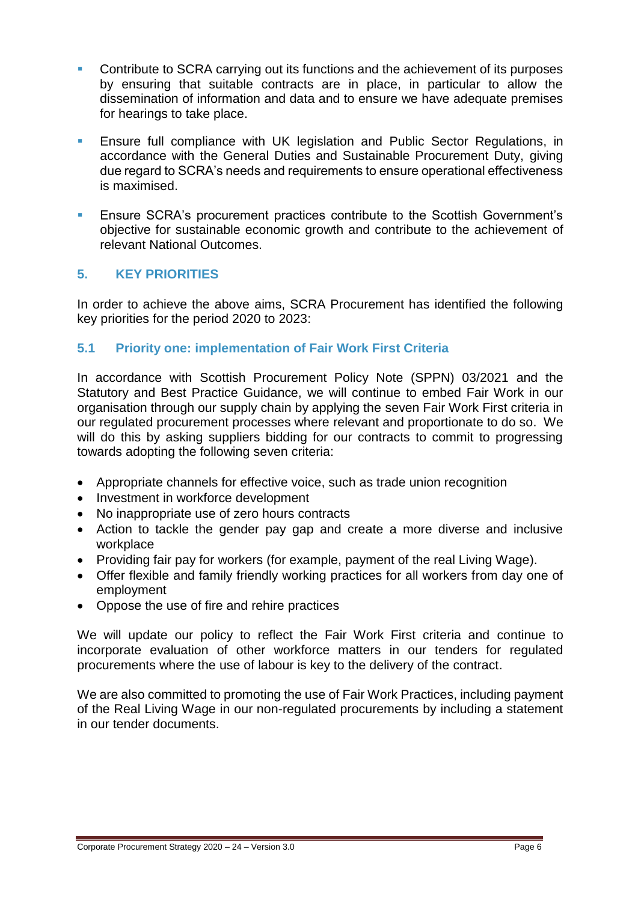- **Contribute to SCRA carrying out its functions and the achievement of its purposes** by ensuring that suitable contracts are in place, in particular to allow the dissemination of information and data and to ensure we have adequate premises for hearings to take place.
- Ensure full compliance with UK legislation and Public Sector Regulations, in accordance with the General Duties and Sustainable Procurement Duty, giving due regard to SCRA's needs and requirements to ensure operational effectiveness is maximised.
- Ensure SCRA's procurement practices contribute to the Scottish Government's objective for sustainable economic growth and contribute to the achievement of relevant National Outcomes.

## **5. KEY PRIORITIES**

In order to achieve the above aims, SCRA Procurement has identified the following key priorities for the period 2020 to 2023:

## **5.1 Priority one: implementation of Fair Work First Criteria**

In accordance with Scottish Procurement Policy Note (SPPN) 03/2021 and the Statutory and Best Practice Guidance, we will continue to embed Fair Work in our organisation through our supply chain by applying the seven Fair Work First criteria in our regulated procurement processes where relevant and proportionate to do so. We will do this by asking suppliers bidding for our contracts to commit to progressing towards adopting the following seven criteria:

- Appropriate channels for effective voice, such as trade union recognition
- Investment in workforce development
- No inappropriate use of zero hours contracts
- Action to tackle the gender pay gap and create a more diverse and inclusive workplace
- Providing fair pay for workers (for example, [payment of the real Living Wage\)](https://www.gov.scot/binaries/content/documents/govscot/publications/advice-and-guidance/2018/07/fair-work-practices-in-procurement-toolkit/documents/information-sheets/6795f34b-5728-4533-a13f-b2bab922617f/6795f34b-5728-4533-a13f-b2bab922617f/govscot%3Adocument/3.%2BFair%2BWork%2B-%2BToolkit%2B-%2BInformation%2BSheet%2B-%2BWhat%2Bis%2Bthe%2Breal%2BLiving%2BWag....pdf).
- Offer flexible and family friendly working practices for all workers from day one of employment
- Oppose the use of fire and rehire practices

We will update our policy to reflect the Fair Work First criteria and continue to incorporate evaluation of other workforce matters in our tenders for regulated procurements where the use of labour is key to the delivery of the contract.

We are also committed to promoting the use of Fair Work Practices, including payment of the Real Living Wage in our non-regulated procurements by including a statement in our tender documents.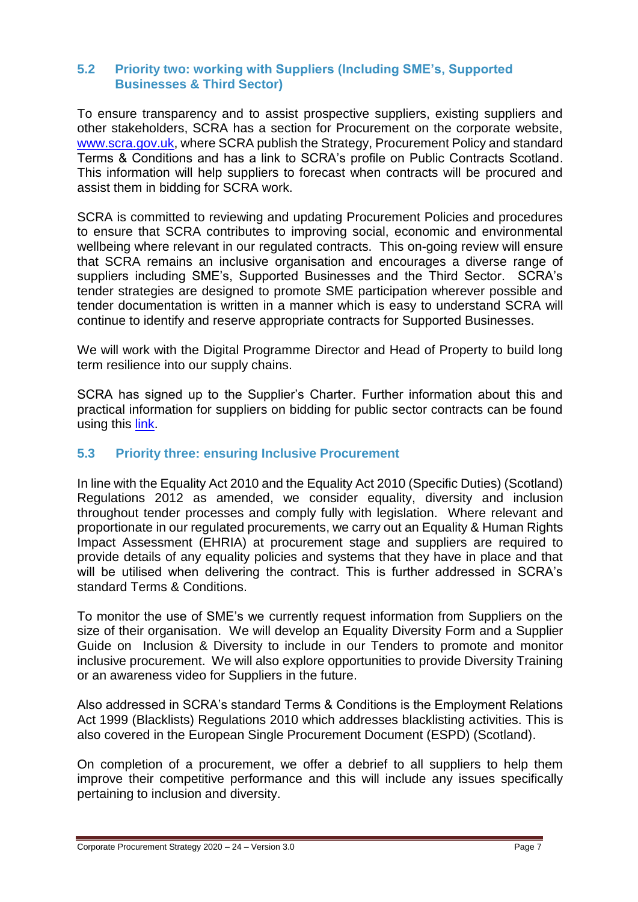#### **5.2 Priority two: working with Suppliers (Including SME's, Supported Businesses & Third Sector)**

To ensure transparency and to assist prospective suppliers, existing suppliers and other stakeholders, SCRA has a section for Procurement on the corporate website, [www.scra.gov.uk,](http://www.scra.gov.uk/) where SCRA publish the Strategy, Procurement Policy and standard Terms & Conditions and has a link to SCRA's profile on Public Contracts Scotland. This information will help suppliers to forecast when contracts will be procured and assist them in bidding for SCRA work.

SCRA is committed to reviewing and updating Procurement Policies and procedures to ensure that SCRA contributes to improving social, economic and environmental wellbeing where relevant in our regulated contracts. This on-going review will ensure that SCRA remains an inclusive organisation and encourages a diverse range of suppliers including SME's, Supported Businesses and the Third Sector. SCRA's tender strategies are designed to promote SME participation wherever possible and tender documentation is written in a manner which is easy to understand SCRA will continue to identify and reserve appropriate contracts for Supported Businesses.

We will work with the Digital Programme Director and Head of Property to build long term resilience into our supply chains.

SCRA has signed up to the Supplier's Charter. Further information about this and practical information for suppliers on bidding for public sector contracts can be found using this [link.](http://www.scotland.gov.uk/Topics/Government/Procurement/Selling)

#### **5.3 Priority three: ensuring Inclusive Procurement**

In line with the Equality Act 2010 and the Equality Act 2010 (Specific Duties) (Scotland) Regulations 2012 as amended, we consider equality, diversity and inclusion throughout tender processes and comply fully with legislation. Where relevant and proportionate in our regulated procurements, we carry out an Equality & Human Rights Impact Assessment (EHRIA) at procurement stage and suppliers are required to provide details of any equality policies and systems that they have in place and that will be utilised when delivering the contract. This is further addressed in SCRA's standard Terms & Conditions.

To monitor the use of SME's we currently request information from Suppliers on the size of their organisation. We will develop an Equality Diversity Form and a Supplier Guide on Inclusion & Diversity to include in our Tenders to promote and monitor inclusive procurement. We will also explore opportunities to provide Diversity Training or an awareness video for Suppliers in the future.

Also addressed in SCRA's standard Terms & Conditions is the Employment Relations Act 1999 (Blacklists) Regulations 2010 which addresses blacklisting activities. This is also covered in the European Single Procurement Document (ESPD) (Scotland).

On completion of a procurement, we offer a debrief to all suppliers to help them improve their competitive performance and this will include any issues specifically pertaining to inclusion and diversity.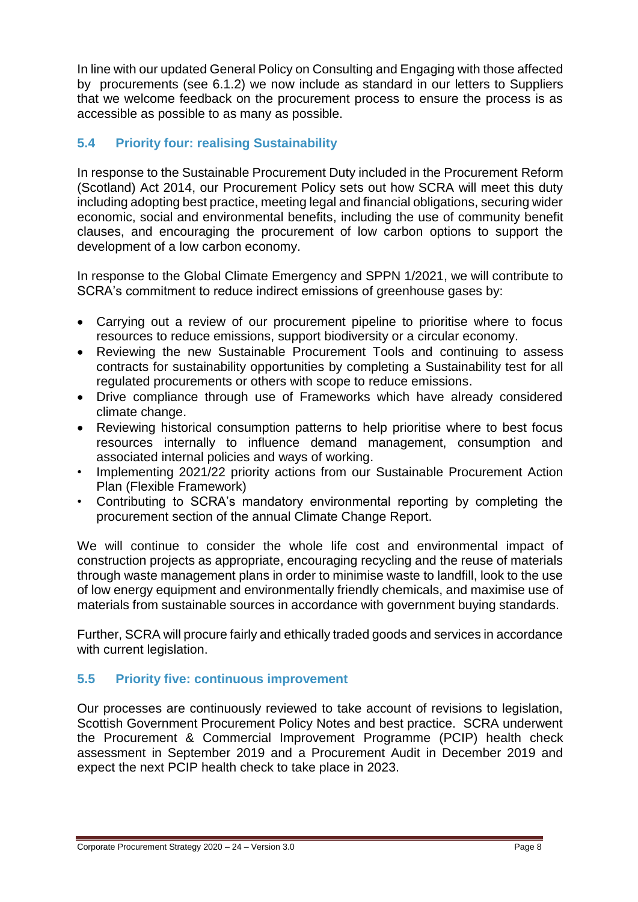In line with our updated General Policy on Consulting and Engaging with those affected by procurements (see 6.1.2) we now include as standard in our letters to Suppliers that we welcome feedback on the procurement process to ensure the process is as accessible as possible to as many as possible.

## **5.4 Priority four: realising Sustainability**

In response to the Sustainable Procurement Duty included in the Procurement Reform (Scotland) Act 2014, our Procurement Policy sets out how SCRA will meet this duty including adopting best practice, meeting legal and financial obligations, securing wider economic, social and environmental benefits, including the use of community benefit clauses, and encouraging the procurement of low carbon options to support the development of a low carbon economy.

In response to the Global Climate Emergency and SPPN 1/2021, we will contribute to SCRA's commitment to reduce indirect emissions of greenhouse gases by:

- Carrying out a review of our procurement pipeline to prioritise where to focus resources to reduce emissions, support biodiversity or a circular economy.
- Reviewing the new Sustainable Procurement Tools and continuing to assess contracts for sustainability opportunities by completing a Sustainability test for all regulated procurements or others with scope to reduce emissions.
- Drive compliance through use of Frameworks which have already considered climate change.
- Reviewing historical consumption patterns to help prioritise where to best focus resources internally to influence demand management, consumption and associated internal policies and ways of working.
- Implementing 2021/22 priority actions from our Sustainable Procurement Action Plan (Flexible Framework)
- Contributing to SCRA's mandatory environmental reporting by completing the procurement section of the annual Climate Change Report.

We will continue to consider the whole life cost and environmental impact of construction projects as appropriate, encouraging recycling and the reuse of materials through waste management plans in order to minimise waste to landfill, look to the use of low energy equipment and environmentally friendly chemicals, and maximise use of materials from sustainable sources in accordance with government buying standards.

Further, SCRA will procure fairly and ethically traded goods and services in accordance with current legislation.

## **5.5 Priority five: continuous improvement**

Our processes are continuously reviewed to take account of revisions to legislation, Scottish Government Procurement Policy Notes and best practice. SCRA underwent the Procurement & Commercial Improvement Programme (PCIP) health check assessment in September 2019 and a Procurement Audit in December 2019 and expect the next PCIP health check to take place in 2023.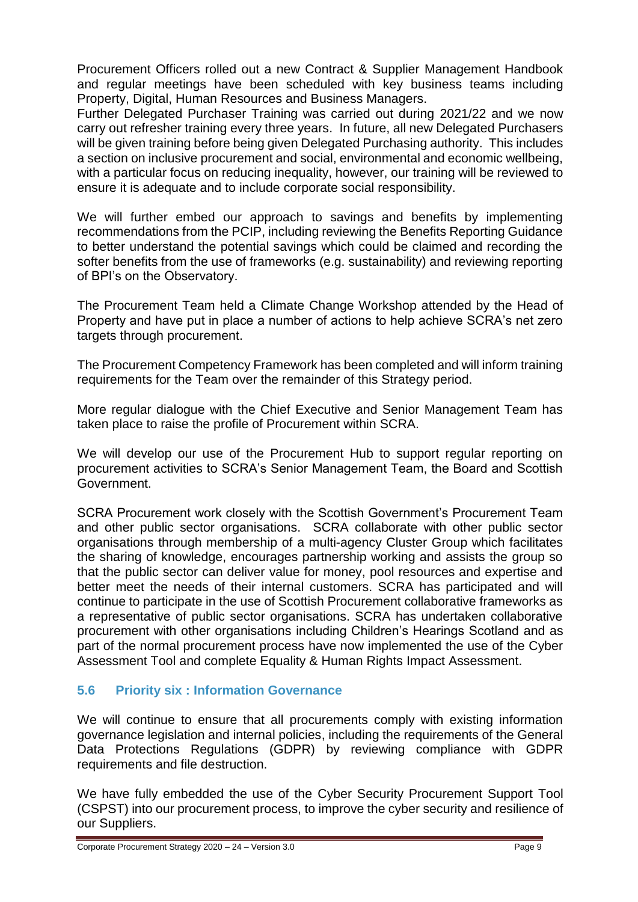Procurement Officers rolled out a new Contract & Supplier Management Handbook and regular meetings have been scheduled with key business teams including Property, Digital, Human Resources and Business Managers.

Further Delegated Purchaser Training was carried out during 2021/22 and we now carry out refresher training every three years. In future, all new Delegated Purchasers will be given training before being given Delegated Purchasing authority. This includes a section on inclusive procurement and social, environmental and economic wellbeing, with a particular focus on reducing inequality, however, our training will be reviewed to ensure it is adequate and to include corporate social responsibility.

We will further embed our approach to savings and benefits by implementing recommendations from the PCIP, including reviewing the Benefits Reporting Guidance to better understand the potential savings which could be claimed and recording the softer benefits from the use of frameworks (e.g. sustainability) and reviewing reporting of BPI's on the Observatory.

The Procurement Team held a Climate Change Workshop attended by the Head of Property and have put in place a number of actions to help achieve SCRA's net zero targets through procurement.

The Procurement Competency Framework has been completed and will inform training requirements for the Team over the remainder of this Strategy period.

More regular dialogue with the Chief Executive and Senior Management Team has taken place to raise the profile of Procurement within SCRA.

We will develop our use of the Procurement Hub to support regular reporting on procurement activities to SCRA's Senior Management Team, the Board and Scottish Government.

SCRA Procurement work closely with the Scottish Government's Procurement Team and other public sector organisations. SCRA collaborate with other public sector organisations through membership of a multi-agency Cluster Group which facilitates the sharing of knowledge, encourages partnership working and assists the group so that the public sector can deliver value for money, pool resources and expertise and better meet the needs of their internal customers. SCRA has participated and will continue to participate in the use of Scottish Procurement collaborative frameworks as a representative of public sector organisations. SCRA has undertaken collaborative procurement with other organisations including Children's Hearings Scotland and as part of the normal procurement process have now implemented the use of the Cyber Assessment Tool and complete Equality & Human Rights Impact Assessment.

## **5.6 Priority six : Information Governance**

We will continue to ensure that all procurements comply with existing information governance legislation and internal policies, including the requirements of the General Data Protections Regulations (GDPR) by reviewing compliance with GDPR requirements and file destruction.

We have fully embedded the use of the Cyber Security Procurement Support Tool (CSPST) into our procurement process, to improve the cyber security and resilience of our Suppliers.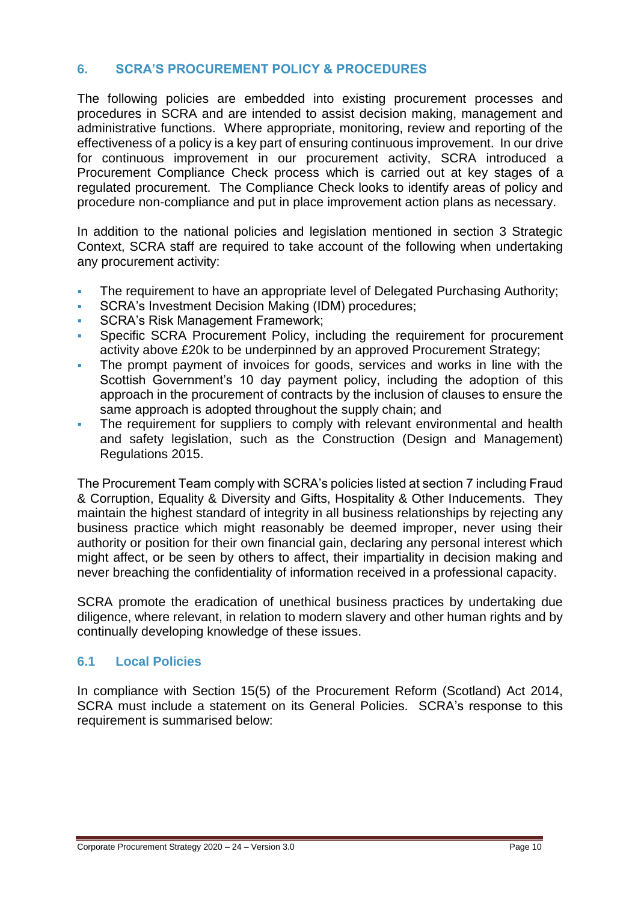## **6. SCRA'S PROCUREMENT POLICY & PROCEDURES**

The following policies are embedded into existing procurement processes and procedures in SCRA and are intended to assist decision making, management and administrative functions. Where appropriate, monitoring, review and reporting of the effectiveness of a policy is a key part of ensuring continuous improvement. In our drive for continuous improvement in our procurement activity, SCRA introduced a Procurement Compliance Check process which is carried out at key stages of a regulated procurement. The Compliance Check looks to identify areas of policy and procedure non-compliance and put in place improvement action plans as necessary.

In addition to the national policies and legislation mentioned in section 3 Strategic Context, SCRA staff are required to take account of the following when undertaking any procurement activity:

- The requirement to have an appropriate level of Delegated Purchasing Authority;
- SCRA's Investment Decision Making (IDM) procedures;
- SCRA's Risk Management Framework;
- Specific SCRA Procurement Policy, including the requirement for procurement activity above £20k to be underpinned by an approved Procurement Strategy;
- The prompt payment of invoices for goods, services and works in line with the Scottish Government's 10 day payment policy, including the adoption of this approach in the procurement of contracts by the inclusion of clauses to ensure the same approach is adopted throughout the supply chain; and
- The requirement for suppliers to comply with relevant environmental and health and safety legislation, such as the Construction (Design and Management) Regulations 2015.

The Procurement Team comply with SCRA's policies listed at section 7 including Fraud & Corruption, Equality & Diversity and Gifts, Hospitality & Other Inducements. They maintain the highest standard of integrity in all business relationships by rejecting any business practice which might reasonably be deemed improper, never using their authority or position for their own financial gain, declaring any personal interest which might affect, or be seen by others to affect, their impartiality in decision making and never breaching the confidentiality of information received in a professional capacity.

SCRA promote the eradication of unethical business practices by undertaking due diligence, where relevant, in relation to modern slavery and other human rights and by continually developing knowledge of these issues.

## **6.1 Local Policies**

In compliance with Section 15(5) of the Procurement Reform (Scotland) Act 2014, SCRA must include a statement on its General Policies. SCRA's response to this requirement is summarised below: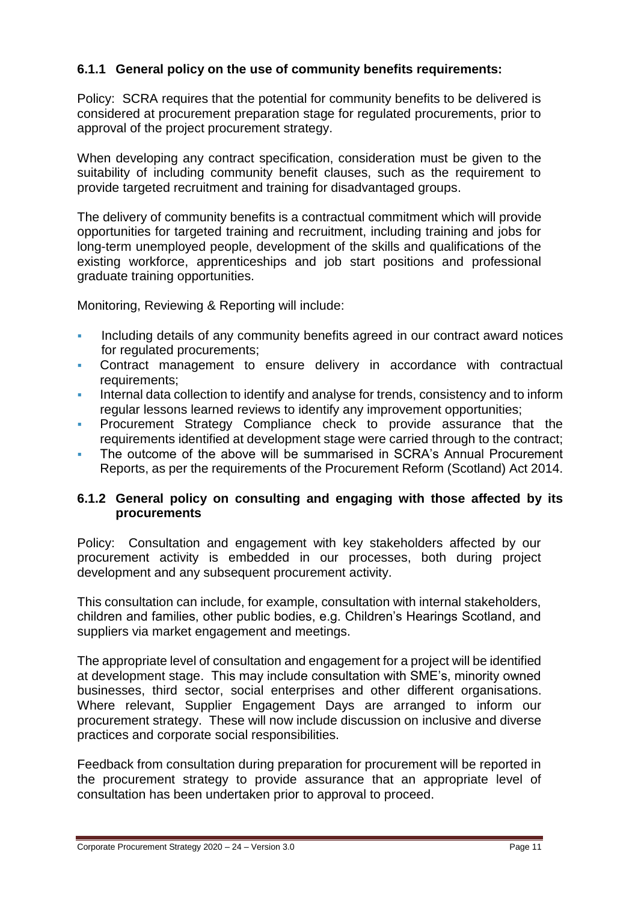## **6.1.1 General policy on the use of community benefits requirements:**

Policy:SCRA requires that the potential for community benefits to be delivered is considered at procurement preparation stage for regulated procurements, prior to approval of the project procurement strategy.

When developing any contract specification, consideration must be given to the suitability of including community benefit clauses, such as the requirement to provide targeted recruitment and training for disadvantaged groups.

The delivery of community benefits is a contractual commitment which will provide opportunities for targeted training and recruitment, including training and jobs for long-term unemployed people, development of the skills and qualifications of the existing workforce, apprenticeships and job start positions and professional graduate training opportunities.

Monitoring, Reviewing & Reporting will include:

- Including details of any community benefits agreed in our contract award notices for regulated procurements;
- Contract management to ensure delivery in accordance with contractual requirements;
- Internal data collection to identify and analyse for trends, consistency and to inform regular lessons learned reviews to identify any improvement opportunities;
- Procurement Strategy Compliance check to provide assurance that the requirements identified at development stage were carried through to the contract;
- The outcome of the above will be summarised in SCRA's Annual Procurement Reports, as per the requirements of the Procurement Reform (Scotland) Act 2014.

#### **6.1.2 General policy on consulting and engaging with those affected by its procurements**

Policy: Consultation and engagement with key stakeholders affected by our procurement activity is embedded in our processes, both during project development and any subsequent procurement activity.

This consultation can include, for example, consultation with internal stakeholders, children and families, other public bodies, e.g. Children's Hearings Scotland, and suppliers via market engagement and meetings.

The appropriate level of consultation and engagement for a project will be identified at development stage. This may include consultation with SME's, minority owned businesses, third sector, social enterprises and other different organisations. Where relevant, Supplier Engagement Days are arranged to inform our procurement strategy. These will now include discussion on inclusive and diverse practices and corporate social responsibilities.

Feedback from consultation during preparation for procurement will be reported in the procurement strategy to provide assurance that an appropriate level of consultation has been undertaken prior to approval to proceed.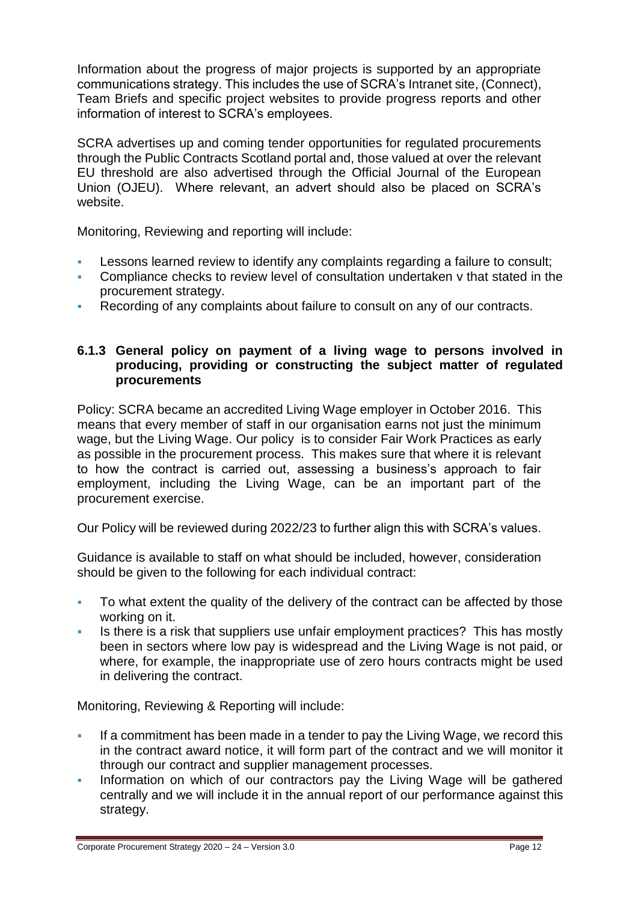Information about the progress of major projects is supported by an appropriate communications strategy. This includes the use of SCRA's Intranet site, (Connect), Team Briefs and specific project websites to provide progress reports and other information of interest to SCRA's employees.

SCRA advertises up and coming tender opportunities for regulated procurements through the Public Contracts Scotland portal and, those valued at over the relevant EU threshold are also advertised through the Official Journal of the European Union (OJEU). Where relevant, an advert should also be placed on SCRA's website.

Monitoring, Reviewing and reporting will include:

- Lessons learned review to identify any complaints regarding a failure to consult;
- Compliance checks to review level of consultation undertaken v that stated in the procurement strategy.
- Recording of any complaints about failure to consult on any of our contracts.

#### **6.1.3 General policy on payment of a living wage to persons involved in producing, providing or constructing the subject matter of regulated procurements**

Policy: SCRA became an accredited Living Wage employer in October 2016. This means that every member of staff in our organisation earns not just the minimum wage, but the Living Wage. Our policy is to consider Fair Work Practices as early as possible in the procurement process. This makes sure that where it is relevant to how the contract is carried out, assessing a business's approach to fair employment, including the Living Wage, can be an important part of the procurement exercise.

Our Policy will be reviewed during 2022/23 to further align this with SCRA's values.

Guidance is available to staff on what should be included, however, consideration should be given to the following for each individual contract:

- To what extent the quality of the delivery of the contract can be affected by those working on it.
- Is there is a risk that suppliers use unfair employment practices? This has mostly been in sectors where low pay is widespread and the Living Wage is not paid, or where, for example, the inappropriate use of zero hours contracts might be used in delivering the contract.

Monitoring, Reviewing & Reporting will include:

- If a commitment has been made in a tender to pay the Living Wage, we record this in the contract award notice, it will form part of the contract and we will monitor it through our contract and supplier management processes.
- Information on which of our contractors pay the Living Wage will be gathered centrally and we will include it in the annual report of our performance against this strategy.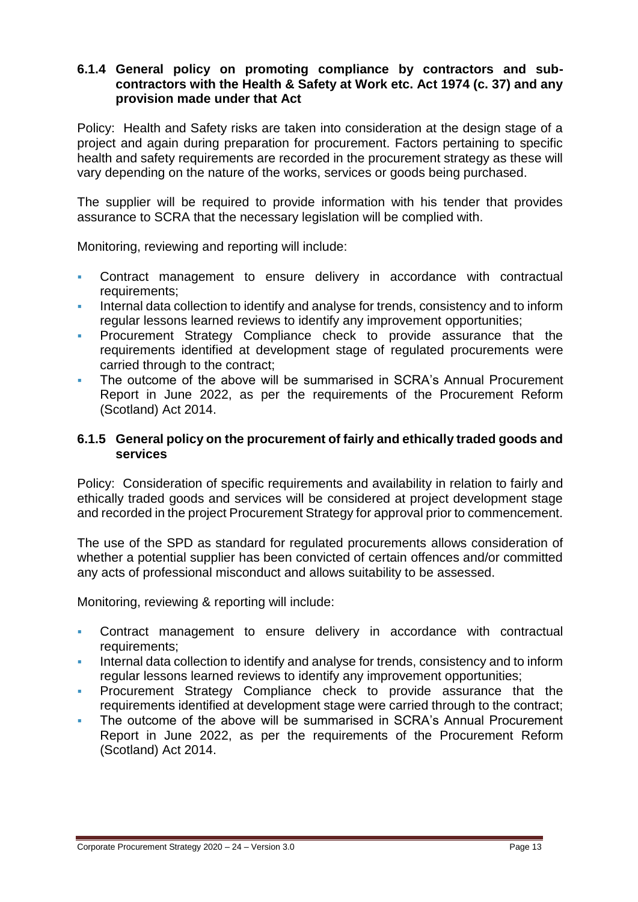#### **6.1.4 General policy on promoting compliance by contractors and subcontractors with the Health & Safety at Work etc. Act 1974 (c. 37) and any provision made under that Act**

Policy: Health and Safety risks are taken into consideration at the design stage of a project and again during preparation for procurement. Factors pertaining to specific health and safety requirements are recorded in the procurement strategy as these will vary depending on the nature of the works, services or goods being purchased.

The supplier will be required to provide information with his tender that provides assurance to SCRA that the necessary legislation will be complied with.

Monitoring, reviewing and reporting will include:

- Contract management to ensure delivery in accordance with contractual requirements;
- Internal data collection to identify and analyse for trends, consistency and to inform regular lessons learned reviews to identify any improvement opportunities;
- Procurement Strategy Compliance check to provide assurance that the requirements identified at development stage of regulated procurements were carried through to the contract;
- The outcome of the above will be summarised in SCRA's Annual Procurement Report in June 2022, as per the requirements of the Procurement Reform (Scotland) Act 2014.

#### **6.1.5 General policy on the procurement of fairly and ethically traded goods and services**

Policy: Consideration of specific requirements and availability in relation to fairly and ethically traded goods and services will be considered at project development stage and recorded in the project Procurement Strategy for approval prior to commencement.

The use of the SPD as standard for regulated procurements allows consideration of whether a potential supplier has been convicted of certain offences and/or committed any acts of professional misconduct and allows suitability to be assessed.

Monitoring, reviewing & reporting will include:

- Contract management to ensure delivery in accordance with contractual requirements;
- Internal data collection to identify and analyse for trends, consistency and to inform regular lessons learned reviews to identify any improvement opportunities;
- Procurement Strategy Compliance check to provide assurance that the requirements identified at development stage were carried through to the contract;
- The outcome of the above will be summarised in SCRA's Annual Procurement Report in June 2022, as per the requirements of the Procurement Reform (Scotland) Act 2014.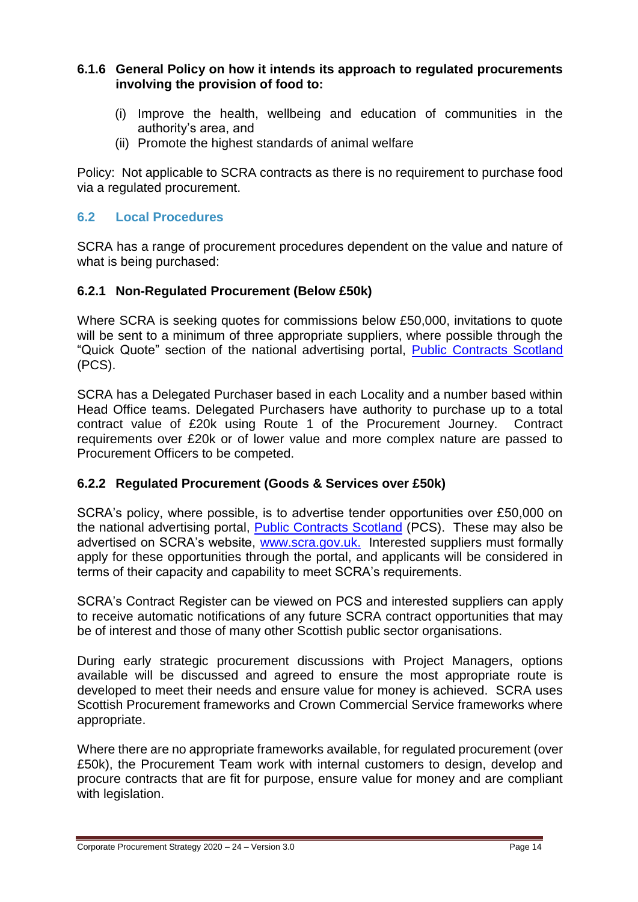#### **6.1.6 General Policy on how it intends its approach to regulated procurements involving the provision of food to:**

- (i) Improve the health, wellbeing and education of communities in the authority's area, and
- (ii) Promote the highest standards of animal welfare

Policy: Not applicable to SCRA contracts as there is no requirement to purchase food via a regulated procurement.

#### **6.2 Local Procedures**

SCRA has a range of procurement procedures dependent on the value and nature of what is being purchased:

#### **6.2.1 Non-Regulated Procurement (Below £50k)**

Where SCRA is seeking quotes for commissions below £50,000, invitations to quote will be sent to a minimum of three appropriate suppliers, where possible through the "Quick Quote" section of the national advertising portal, [Public Contracts Scotland](http://www.publiccontractsscotland.gov.uk/default.aspx) (PCS).

SCRA has a Delegated Purchaser based in each Locality and a number based within Head Office teams. Delegated Purchasers have authority to purchase up to a total contract value of £20k using Route 1 of the Procurement Journey. Contract requirements over £20k or of lower value and more complex nature are passed to Procurement Officers to be competed.

#### **6.2.2 Regulated Procurement (Goods & Services over £50k)**

SCRA's policy, where possible, is to advertise tender opportunities over £50,000 on the national advertising portal, [Public Contracts Scotland](http://www.publiccontractsscotland.gov.uk/search/Search_AuthProfile.aspx?ID=AA00426) (PCS). These may also be advertised on SCRA's website,<www.scra.gov.uk.> Interested suppliers must formally apply for these opportunities through the portal, and applicants will be considered in terms of their capacity and capability to meet SCRA's requirements.

SCRA's Contract Register can be viewed on PCS and interested suppliers can apply to receive automatic notifications of any future SCRA contract opportunities that may be of interest and those of many other Scottish public sector organisations.

During early strategic procurement discussions with Project Managers, options available will be discussed and agreed to ensure the most appropriate route is developed to meet their needs and ensure value for money is achieved. SCRA uses Scottish Procurement frameworks and Crown Commercial Service frameworks where appropriate.

Where there are no appropriate frameworks available, for regulated procurement (over £50k), the Procurement Team work with internal customers to design, develop and procure contracts that are fit for purpose, ensure value for money and are compliant with legislation.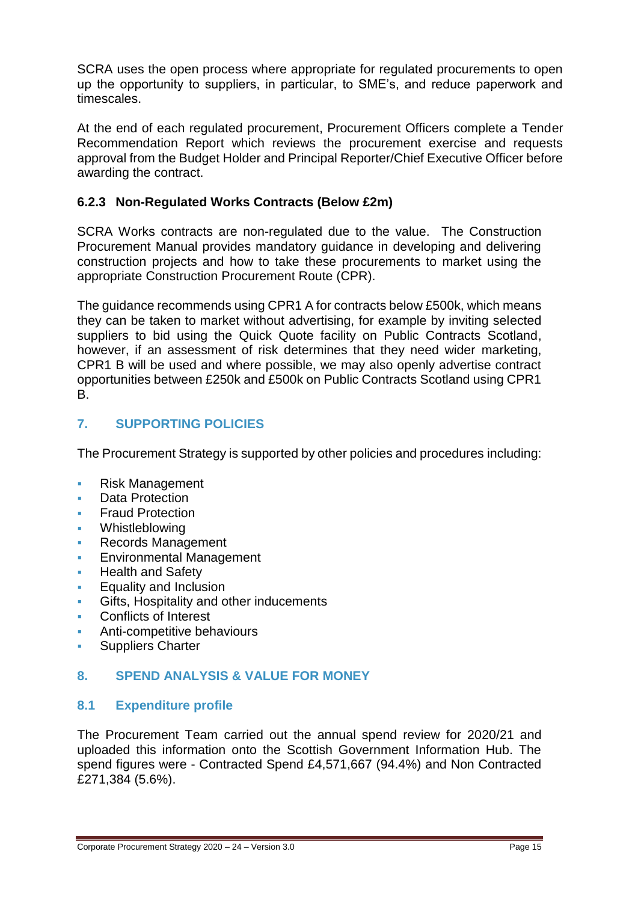SCRA uses the open process where appropriate for regulated procurements to open up the opportunity to suppliers, in particular, to SME's, and reduce paperwork and timescales.

At the end of each regulated procurement, Procurement Officers complete a Tender Recommendation Report which reviews the procurement exercise and requests approval from the Budget Holder and Principal Reporter/Chief Executive Officer before awarding the contract.

## **6.2.3 Non-Regulated Works Contracts (Below £2m)**

SCRA Works contracts are non-regulated due to the value. The Construction Procurement Manual provides mandatory guidance in developing and delivering construction projects and how to take these procurements to market using the appropriate Construction Procurement Route (CPR).

The guidance recommends using CPR1 A for contracts below £500k, which means they can be taken to market without advertising, for example by inviting selected suppliers to bid using the Quick Quote facility on Public Contracts Scotland, however, if an assessment of risk determines that they need wider marketing, CPR1 B will be used and where possible, we may also openly advertise contract opportunities between £250k and £500k on Public Contracts Scotland using CPR1 B.

## **7. SUPPORTING POLICIES**

The Procurement Strategy is supported by other policies and procedures including:

- Risk Management
- Data Protection
- Fraud Protection
- Whistleblowing
- Records Management
- Environmental Management
- **Health and Safety**
- Equality and Inclusion
- Gifts, Hospitality and other inducements
- Conflicts of Interest
- Anti-competitive behaviours
- **Suppliers Charter**

#### **8. SPEND ANALYSIS & VALUE FOR MONEY**

#### **8.1 Expenditure profile**

The Procurement Team carried out the annual spend review for 2020/21 and uploaded this information onto the Scottish Government Information Hub. The spend figures were - Contracted Spend £4,571,667 (94.4%) and Non Contracted £271,384 (5.6%).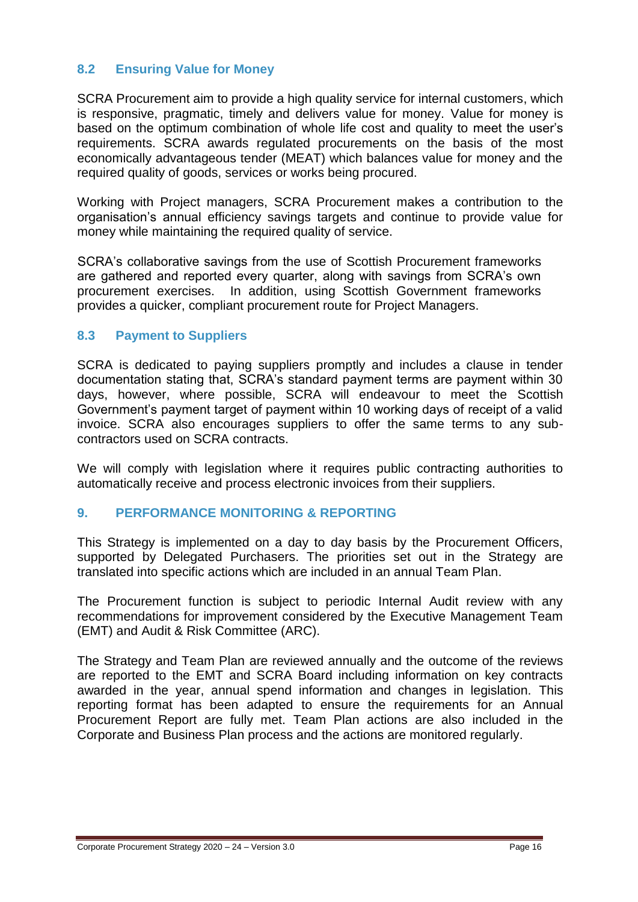## **8.2 Ensuring Value for Money**

SCRA Procurement aim to provide a high quality service for internal customers, which is responsive, pragmatic, timely and delivers value for money. Value for money is based on the optimum combination of whole life cost and quality to meet the user's requirements. SCRA awards regulated procurements on the basis of the most economically advantageous tender (MEAT) which balances value for money and the required quality of goods, services or works being procured.

Working with Project managers, SCRA Procurement makes a contribution to the organisation's annual efficiency savings targets and continue to provide value for money while maintaining the required quality of service.

SCRA's collaborative savings from the use of Scottish Procurement frameworks are gathered and reported every quarter, along with savings from SCRA's own procurement exercises. In addition, using Scottish Government frameworks provides a quicker, compliant procurement route for Project Managers.

#### **8.3 Payment to Suppliers**

SCRA is dedicated to paying suppliers promptly and includes a clause in tender documentation stating that, SCRA's standard payment terms are payment within 30 days, however, where possible, SCRA will endeavour to meet the Scottish Government's payment target of payment within 10 working days of receipt of a valid invoice. SCRA also encourages suppliers to offer the same terms to any subcontractors used on SCRA contracts.

We will comply with legislation where it requires public contracting authorities to automatically receive and process electronic invoices from their suppliers.

#### **9. PERFORMANCE MONITORING & REPORTING**

This Strategy is implemented on a day to day basis by the Procurement Officers, supported by Delegated Purchasers. The priorities set out in the Strategy are translated into specific actions which are included in an annual Team Plan.

The Procurement function is subject to periodic Internal Audit review with any recommendations for improvement considered by the Executive Management Team (EMT) and Audit & Risk Committee (ARC).

The Strategy and Team Plan are reviewed annually and the outcome of the reviews are reported to the EMT and SCRA Board including information on key contracts awarded in the year, annual spend information and changes in legislation. This reporting format has been adapted to ensure the requirements for an Annual Procurement Report are fully met. Team Plan actions are also included in the Corporate and Business Plan process and the actions are monitored regularly.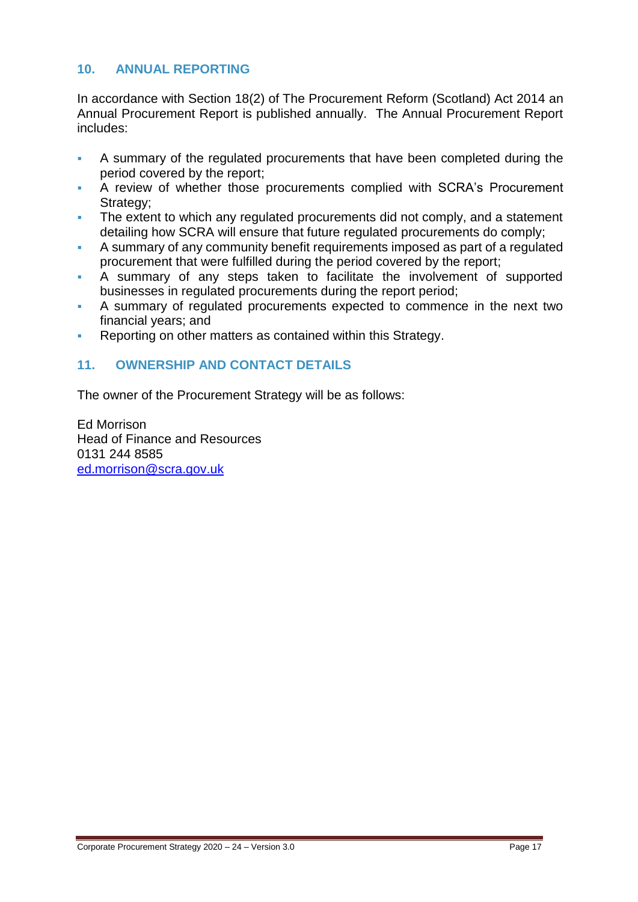## **10. ANNUAL REPORTING**

In accordance with Section 18(2) of The Procurement Reform (Scotland) Act 2014 an Annual Procurement Report is published annually. The Annual Procurement Report includes:

- A summary of the regulated procurements that have been completed during the period covered by the report;
- A review of whether those procurements complied with SCRA's Procurement Strategy;
- The extent to which any regulated procurements did not comply, and a statement detailing how SCRA will ensure that future regulated procurements do comply;
- A summary of any community benefit requirements imposed as part of a regulated procurement that were fulfilled during the period covered by the report;
- A summary of any steps taken to facilitate the involvement of supported businesses in regulated procurements during the report period;
- A summary of regulated procurements expected to commence in the next two financial years; and
- Reporting on other matters as contained within this Strategy.

## **11. OWNERSHIP AND CONTACT DETAILS**

The owner of the Procurement Strategy will be as follows:

Ed Morrison Head of Finance and Resources 0131 244 8585 [ed.morrison@scra.gov.uk](mailto:ed.morrison@scra.gov.uk)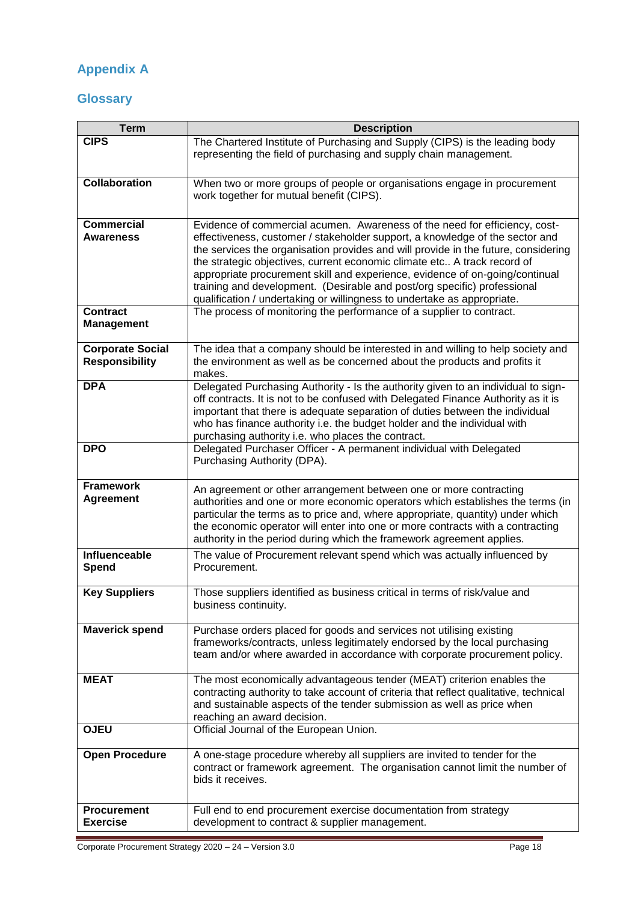# **Appendix A**

#### **Glossary**

| <b>Term</b>                                              | <b>Description</b>                                                                                                                                                                                                                                                                                                                                                                                                                                                                                                                                                                                                                          |  |  |
|----------------------------------------------------------|---------------------------------------------------------------------------------------------------------------------------------------------------------------------------------------------------------------------------------------------------------------------------------------------------------------------------------------------------------------------------------------------------------------------------------------------------------------------------------------------------------------------------------------------------------------------------------------------------------------------------------------------|--|--|
| <b>CIPS</b>                                              | The Chartered Institute of Purchasing and Supply (CIPS) is the leading body<br>representing the field of purchasing and supply chain management.                                                                                                                                                                                                                                                                                                                                                                                                                                                                                            |  |  |
| <b>Collaboration</b>                                     | When two or more groups of people or organisations engage in procurement<br>work together for mutual benefit (CIPS).                                                                                                                                                                                                                                                                                                                                                                                                                                                                                                                        |  |  |
| <b>Commercial</b><br><b>Awareness</b><br><b>Contract</b> | Evidence of commercial acumen. Awareness of the need for efficiency, cost-<br>effectiveness, customer / stakeholder support, a knowledge of the sector and<br>the services the organisation provides and will provide in the future, considering<br>the strategic objectives, current economic climate etc A track record of<br>appropriate procurement skill and experience, evidence of on-going/continual<br>training and development. (Desirable and post/org specific) professional<br>qualification / undertaking or willingness to undertake as appropriate.<br>The process of monitoring the performance of a supplier to contract. |  |  |
| <b>Management</b>                                        |                                                                                                                                                                                                                                                                                                                                                                                                                                                                                                                                                                                                                                             |  |  |
| <b>Corporate Social</b><br><b>Responsibility</b>         | The idea that a company should be interested in and willing to help society and<br>the environment as well as be concerned about the products and profits it<br>makes.                                                                                                                                                                                                                                                                                                                                                                                                                                                                      |  |  |
| <b>DPA</b>                                               | Delegated Purchasing Authority - Is the authority given to an individual to sign-<br>off contracts. It is not to be confused with Delegated Finance Authority as it is<br>important that there is adequate separation of duties between the individual<br>who has finance authority i.e. the budget holder and the individual with<br>purchasing authority i.e. who places the contract.                                                                                                                                                                                                                                                    |  |  |
| <b>DPO</b>                                               | Delegated Purchaser Officer - A permanent individual with Delegated<br>Purchasing Authority (DPA).                                                                                                                                                                                                                                                                                                                                                                                                                                                                                                                                          |  |  |
| <b>Framework</b><br><b>Agreement</b>                     | An agreement or other arrangement between one or more contracting<br>authorities and one or more economic operators which establishes the terms (in<br>particular the terms as to price and, where appropriate, quantity) under which<br>the economic operator will enter into one or more contracts with a contracting<br>authority in the period during which the framework agreement applies.                                                                                                                                                                                                                                            |  |  |
| Influenceable<br>Spend                                   | The value of Procurement relevant spend which was actually influenced by<br>Procurement.                                                                                                                                                                                                                                                                                                                                                                                                                                                                                                                                                    |  |  |
| <b>Key Suppliers</b>                                     | Those suppliers identified as business critical in terms of risk/value and<br>business continuity.                                                                                                                                                                                                                                                                                                                                                                                                                                                                                                                                          |  |  |
| <b>Maverick spend</b>                                    | Purchase orders placed for goods and services not utilising existing<br>frameworks/contracts, unless legitimately endorsed by the local purchasing<br>team and/or where awarded in accordance with corporate procurement policy.                                                                                                                                                                                                                                                                                                                                                                                                            |  |  |
| <b>MEAT</b>                                              | The most economically advantageous tender (MEAT) criterion enables the<br>contracting authority to take account of criteria that reflect qualitative, technical<br>and sustainable aspects of the tender submission as well as price when<br>reaching an award decision.                                                                                                                                                                                                                                                                                                                                                                    |  |  |
| <b>OJEU</b>                                              | Official Journal of the European Union.                                                                                                                                                                                                                                                                                                                                                                                                                                                                                                                                                                                                     |  |  |
| <b>Open Procedure</b>                                    | A one-stage procedure whereby all suppliers are invited to tender for the<br>contract or framework agreement. The organisation cannot limit the number of<br>bids it receives.                                                                                                                                                                                                                                                                                                                                                                                                                                                              |  |  |
| <b>Procurement</b><br><b>Exercise</b>                    | Full end to end procurement exercise documentation from strategy<br>development to contract & supplier management.                                                                                                                                                                                                                                                                                                                                                                                                                                                                                                                          |  |  |